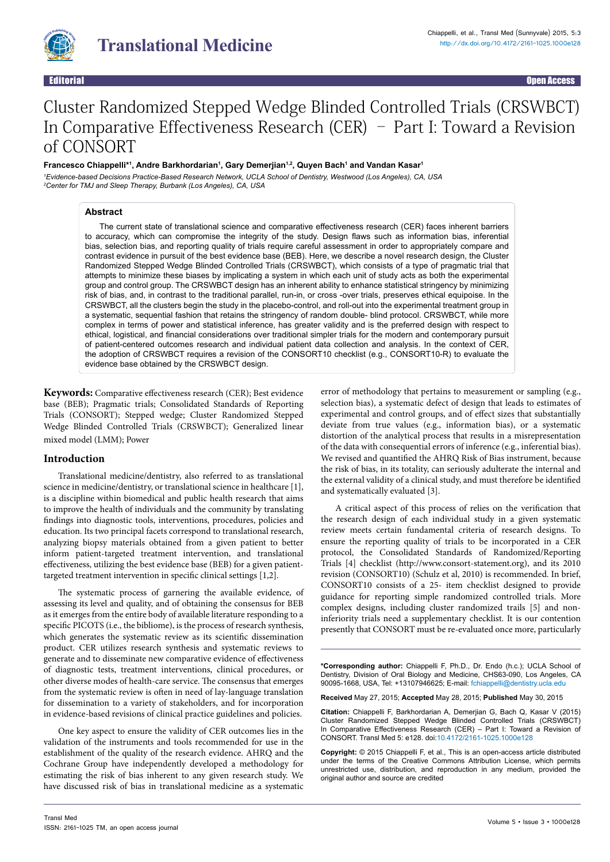

Editorial Open Access

# Cluster Randomized Stepped Wedge Blinded Controlled Trials (CRSWBCT) In Comparative Effectiveness Research (CER) – Part I: Toward a Revision of CONSORT

## **Francesco Chiappelli\*1 , Andre Barkhordarian1 , Gary Demerjian1,2, Quyen Bach1 and Vandan Kasar1**

*1 Evidence-based Decisions Practice-Based Research Network, UCLA School of Dentistry, Westwood (Los Angeles), CA, USA 2 Center for TMJ and Sleep Therapy, Burbank (Los Angeles), CA, USA*

### **Abstract**

The current state of translational science and comparative effectiveness research (CER) faces inherent barriers to accuracy, which can compromise the integrity of the study. Design flaws such as information bias, inferential bias, selection bias, and reporting quality of trials require careful assessment in order to appropriately compare and contrast evidence in pursuit of the best evidence base (BEB). Here, we describe a novel research design, the Cluster Randomized Stepped Wedge Blinded Controlled Trials (CRSWBCT), which consists of a type of pragmatic trial that attempts to minimize these biases by implicating a system in which each unit of study acts as both the experimental group and control group. The CRSWBCT design has an inherent ability to enhance statistical stringency by minimizing risk of bias, and, in contrast to the traditional parallel, run-in, or cross -over trials, preserves ethical equipoise. In the CRSWBCT, all the clusters begin the study in the placebo-control, and roll-out into the experimental treatment group in a systematic, sequential fashion that retains the stringency of random double- blind protocol. CRSWBCT, while more complex in terms of power and statistical inference, has greater validity and is the preferred design with respect to ethical, logistical, and financial considerations over traditional simpler trials for the modern and contemporary pursuit of patient-centered outcomes research and individual patient data collection and analysis. In the context of CER, the adoption of CRSWBCT requires a revision of the CONSORT10 checklist (e.g., CONSORT10-R) to evaluate the evidence base obtained by the CRSWBCT design.

**Keywords:** Comparative effectiveness research (CER); Best evidence base (BEB); Pragmatic trials; Consolidated Standards of Reporting Trials (CONSORT); Stepped wedge; Cluster Randomized Stepped Wedge Blinded Controlled Trials (CRSWBCT); Generalized linear mixed model (LMM); Power

## **Introduction**

Translational medicine/dentistry, also referred to as translational science in medicine/dentistry, or translational science in healthcare [1], is a discipline within biomedical and public health research that aims to improve the health of individuals and the community by translating findings into diagnostic tools, interventions, procedures, policies and education. Its two principal facets correspond to translational research, analyzing biopsy materials obtained from a given patient to better inform patient-targeted treatment intervention, and translational effectiveness, utilizing the best evidence base (BEB) for a given patienttargeted treatment intervention in specific clinical settings [1,2].

The systematic process of garnering the available evidence, of assessing its level and quality, and of obtaining the consensus for BEB as it emerges from the entire body of available literature responding to a specific PICOTS (i.e., the bibliome), is the process of research synthesis, which generates the systematic review as its scientific dissemination product. CER utilizes research synthesis and systematic reviews to generate and to disseminate new comparative evidence of effectiveness of diagnostic tests, treatment interventions, clinical procedures, or other diverse modes of health-care service. The consensus that emerges from the systematic review is often in need of lay-language translation for dissemination to a variety of stakeholders, and for incorporation in evidence-based revisions of clinical practice guidelines and policies.

One key aspect to ensure the validity of CER outcomes lies in the validation of the instruments and tools recommended for use in the establishment of the quality of the research evidence. AHRQ and the Cochrane Group have independently developed a methodology for estimating the risk of bias inherent to any given research study. We have discussed risk of bias in translational medicine as a systematic error of methodology that pertains to measurement or sampling (e.g., selection bias), a systematic defect of design that leads to estimates of experimental and control groups, and of effect sizes that substantially deviate from true values (e.g., information bias), or a systematic distortion of the analytical process that results in a misrepresentation of the data with consequential errors of inference (e.g., inferential bias). We revised and quantified the AHRQ Risk of Bias instrument, because the risk of bias, in its totality, can seriously adulterate the internal and the external validity of a clinical study, and must therefore be identified and systematically evaluated [3].

A critical aspect of this process of relies on the verification that the research design of each individual study in a given systematic review meets certain fundamental criteria of research designs. To ensure the reporting quality of trials to be incorporated in a CER protocol, the Consolidated Standards of Randomized/Reporting Trials [4] checklist (http://www.consort-statement.org), and its 2010 revision (CONSORT10) (Schulz et al, 2010) is recommended. In brief, CONSORT10 consists of a 25- item checklist designed to provide guidance for reporting simple randomized controlled trials. More complex designs, including cluster randomized trails [5] and noninferiority trials need a supplementary checklist. It is our contention presently that CONSORT must be re-evaluated once more, particularly

**\*Corresponding author:** Chiappelli F, Ph.D., Dr. Endo (h.c.); UCLA School of Dentistry, Division of Oral Biology and Medicine, CHS63-090, Los Angeles, CA 90095-1668, USA, Tel: +13107946625; E-mail: fchiappelli@dentistry.ucla.edu

**Received** May 27, 2015; **Accepted** May 28, 2015; **Published** May 30, 2015

**Citation:** Chiappelli F, Barkhordarian A, Demerjian G, Bach Q, Kasar V (2015) Cluster Randomized Stepped Wedge Blinded Controlled Trials (CRSWBCT) In Comparative Effectiveness Research (CER) – Part I: Toward a Revision of CONSORT. Transl Med 5: e128. doi[:10.4172/2161-1025.1000e12](http://dx.doi.org/10.4172/2161-1025.1000e128)8

**Copyright:** © 2015 Chiappelli F, et al., This is an open-access article distributed under the terms of the Creative Commons Attribution License, which permits unrestricted use, distribution, and reproduction in any medium, provided the original author and source are credited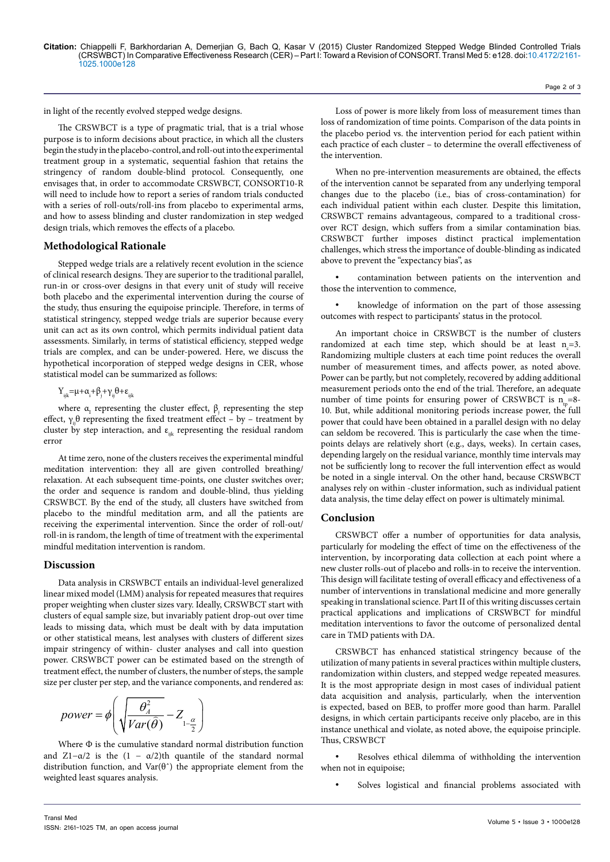in light of the recently evolved stepped wedge designs.

The CRSWBCT is a type of pragmatic trial, that is a trial whose purpose is to inform decisions about practice, in which all the clusters begin the study in the placebo-control, and roll-out into the experimental treatment group in a systematic, sequential fashion that retains the stringency of random double-blind protocol. Consequently, one envisages that, in order to accommodate CRSWBCT, CONSORT10-R will need to include how to report a series of random trials conducted with a series of roll-outs/roll-ins from placebo to experimental arms, and how to assess blinding and cluster randomization in step wedged design trials, which removes the effects of a placebo.

## **Methodological Rationale**

Stepped wedge trials are a relatively recent evolution in the science of clinical research designs. They are superior to the traditional parallel, run-in or cross-over designs in that every unit of study will receive both placebo and the experimental intervention during the course of the study, thus ensuring the equipoise principle. Therefore, in terms of statistical stringency, stepped wedge trials are superior because every unit can act as its own control, which permits individual patient data assessments. Similarly, in terms of statistical efficiency, stepped wedge trials are complex, and can be under-powered. Here, we discuss the hypothetical incorporation of stepped wedge designs in CER, whose statistical model can be summarized as follows:

 $Y_{ijk} = \mu + \alpha_i + \beta_j + \gamma_{ij} \theta + \varepsilon_{ijk}$ 

where  $\alpha_{I}$  representing the cluster effect,  $\beta_{I}$  representing the step effect,  $\gamma_{ii}$ θ representing the fixed treatment effect – by – treatment by cluster by step interaction, and  $\varepsilon_{ik}$  representing the residual random error

At time zero, none of the clusters receives the experimental mindful meditation intervention: they all are given controlled breathing/ relaxation. At each subsequent time-points, one cluster switches over; the order and sequence is random and double-blind, thus yielding CRSWBCT. By the end of the study, all clusters have switched from placebo to the mindful meditation arm, and all the patients are receiving the experimental intervention. Since the order of roll-out/ roll-in is random, the length of time of treatment with the experimental mindful meditation intervention is random.

## **Discussion**

Data analysis in CRSWBCT entails an individual-level generalized linear mixed model (LMM) analysis for repeated measures that requires proper weighting when cluster sizes vary. Ideally, CRSWBCT start with clusters of equal sample size, but invariably patient drop-out over time leads to missing data, which must be dealt with by data imputation or other statistical means, lest analyses with clusters of different sizes impair stringency of within- cluster analyses and call into question power. CRSWBCT power can be estimated based on the strength of treatment effect, the number of clusters, the number of steps, the sample size per cluster per step, and the variance components, and rendered as:

$$
power = \phi \left( \sqrt{\frac{\theta_{A}^{2}}{Var(\hat{\theta})}} - Z_{1-\frac{\alpha}{2}} \right)
$$

Where Φ is the cumulative standard normal distribution function and Z1− $\alpha/2$  is the  $(1 - \alpha/2)$ th quantile of the standard normal distribution function, and  $Var(\theta^*)$  the appropriate element from the weighted least squares analysis.

Loss of power is more likely from loss of measurement times than loss of randomization of time points. Comparison of the data points in the placebo period vs. the intervention period for each patient within each practice of each cluster – to determine the overall effectiveness of the intervention.

Page 2 of 3

When no pre-intervention measurements are obtained, the effects of the intervention cannot be separated from any underlying temporal changes due to the placebo (i.e., bias of cross-contamination) for each individual patient within each cluster. Despite this limitation, CRSWBCT remains advantageous, compared to a traditional crossover RCT design, which suffers from a similar contamination bias. CRSWBCT further imposes distinct practical implementation challenges, which stress the importance of double-blinding as indicated above to prevent the "expectancy bias", as

contamination between patients on the intervention and those the intervention to commence,

knowledge of information on the part of those assessing outcomes with respect to participants' status in the protocol.

An important choice in CRSWBCT is the number of clusters randomized at each time step, which should be at least  $n_c=3$ . Randomizing multiple clusters at each time point reduces the overall number of measurement times, and affects power, as noted above. Power can be partly, but not completely, recovered by adding additional measurement periods onto the end of the trial. Therefore, an adequate number of time points for ensuring power of CRSWBCT is  $n_{\text{th}}$ =8-10. But, while additional monitoring periods increase power, the full power that could have been obtained in a parallel design with no delay can seldom be recovered. This is particularly the case when the timepoints delays are relatively short (e.g., days, weeks). In certain cases, depending largely on the residual variance, monthly time intervals may not be sufficiently long to recover the full intervention effect as would be noted in a single interval. On the other hand, because CRSWBCT analyses rely on within -cluster information, such as individual patient data analysis, the time delay effect on power is ultimately minimal.

## **Conclusion**

CRSWBCT offer a number of opportunities for data analysis, particularly for modeling the effect of time on the effectiveness of the intervention, by incorporating data collection at each point where a new cluster rolls-out of placebo and rolls-in to receive the intervention. This design will facilitate testing of overall efficacy and effectiveness of a number of interventions in translational medicine and more generally speaking in translational science. Part II of this writing discusses certain practical applications and implications of CRSWBCT for mindful meditation interventions to favor the outcome of personalized dental care in TMD patients with DA.

CRSWBCT has enhanced statistical stringency because of the utilization of many patients in several practices within multiple clusters, randomization within clusters, and stepped wedge repeated measures. It is the most appropriate design in most cases of individual patient data acquisition and analysis, particularly, when the intervention is expected, based on BEB, to proffer more good than harm. Parallel designs, in which certain participants receive only placebo, are in this instance unethical and violate, as noted above, the equipoise principle. Thus, CRSWBCT

Resolves ethical dilemma of withholding the intervention when not in equipoise;

Solves logistical and financial problems associated with